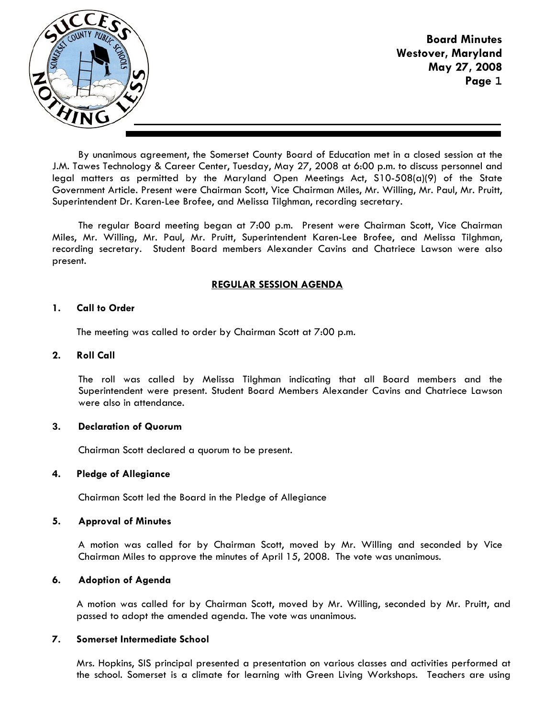

**Board Minutes Westover, Maryland May 27, 2008 Page 1**

By unanimous agreement, the Somerset County Board of Education met in a closed session at the J.M. Tawes Technology & Career Center, Tuesday, May 27, 2008 at 6:00 p.m. to discuss personnel and legal matters as permitted by the Maryland Open Meetings Act, S10-508(a)(9) of the State Government Article. Present were Chairman Scott, Vice Chairman Miles, Mr. Willing, Mr. Paul, Mr. Pruitt, Superintendent Dr. Karen-Lee Brofee, and Melissa Tilghman, recording secretary.

The regular Board meeting began at 7:00 p.m. Present were Chairman Scott, Vice Chairman Miles, Mr. Willing, Mr. Paul, Mr. Pruitt, Superintendent Karen-Lee Brofee, and Melissa Tilghman, recording secretary. Student Board members Alexander Cavins and Chatriece Lawson were also present.

## **REGULAR SESSION AGENDA**

## **1. Call to Order**

The meeting was called to order by Chairman Scott at 7:00 p.m.

## **2. Roll Call**

The roll was called by Melissa Tilghman indicating that all Board members and the Superintendent were present. Student Board Members Alexander Cavins and Chatriece Lawson were also in attendance.

## **3. Declaration of Quorum**

Chairman Scott declared a quorum to be present.

## **4. Pledge of Allegiance**

Chairman Scott led the Board in the Pledge of Allegiance

## **5. Approval of Minutes**

A motion was called for by Chairman Scott, moved by Mr. Willing and seconded by Vice Chairman Miles to approve the minutes of April 15, 2008. The vote was unanimous.

## **6. Adoption of Agenda**

 A motion was called for by Chairman Scott, moved by Mr. Willing, seconded by Mr. Pruitt, and passed to adopt the amended agenda. The vote was unanimous.

## **7. Somerset Intermediate School**

Mrs. Hopkins, SIS principal presented a presentation on various classes and activities performed at the school. Somerset is a climate for learning with Green Living Workshops. Teachers are using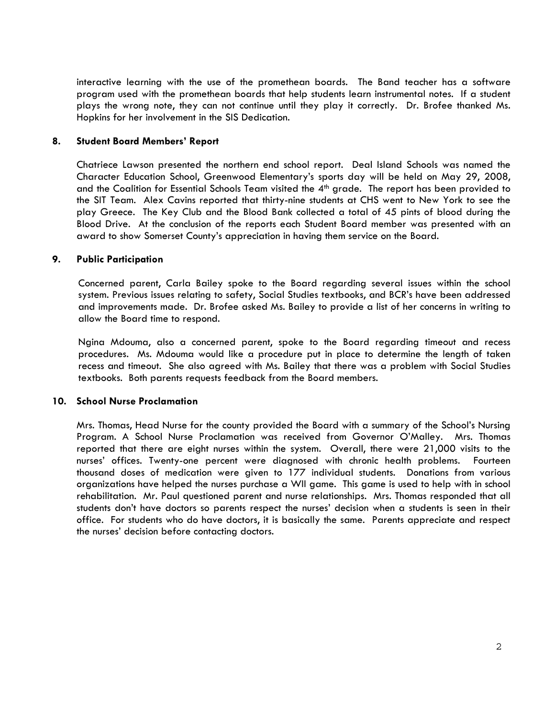interactive learning with the use of the promethean boards. The Band teacher has a software program used with the promethean boards that help students learn instrumental notes. If a student plays the wrong note, they can not continue until they play it correctly. Dr. Brofee thanked Ms. Hopkins for her involvement in the SIS Dedication.

## **8. Student Board Members' Report**

Chatriece Lawson presented the northern end school report. Deal Island Schools was named the Character Education School, Greenwood Elementary's sports day will be held on May 29, 2008, and the Coalition for Essential Schools Team visited the  $4<sup>th</sup>$  grade. The report has been provided to the SIT Team. Alex Cavins reported that thirty-nine students at CHS went to New York to see the play Greece. The Key Club and the Blood Bank collected a total of 45 pints of blood during the Blood Drive. At the conclusion of the reports each Student Board member was presented with an award to show Somerset County's appreciation in having them service on the Board.

## **9. Public Participation**

 Concerned parent, Carla Bailey spoke to the Board regarding several issues within the school system. Previous issues relating to safety, Social Studies textbooks, and BCR's have been addressed and improvements made. Dr. Brofee asked Ms. Bailey to provide a list of her concerns in writing to allow the Board time to respond.

 Ngina Mdouma, also a concerned parent, spoke to the Board regarding timeout and recess procedures. Ms. Mdouma would like a procedure put in place to determine the length of taken recess and timeout. She also agreed with Ms. Bailey that there was a problem with Social Studies textbooks. Both parents requests feedback from the Board members.

## **10. School Nurse Proclamation**

Mrs. Thomas, Head Nurse for the county provided the Board with a summary of the School's Nursing Program. A School Nurse Proclamation was received from Governor O'Malley. Mrs. Thomas reported that there are eight nurses within the system. Overall, there were 21,000 visits to the nurses' offices. Twenty-one percent were diagnosed with chronic health problems. Fourteen thousand doses of medication were given to 177 individual students. Donations from various organizations have helped the nurses purchase a WII game. This game is used to help with in school rehabilitation. Mr. Paul questioned parent and nurse relationships. Mrs. Thomas responded that all students don't have doctors so parents respect the nurses' decision when a students is seen in their office. For students who do have doctors, it is basically the same. Parents appreciate and respect the nurses' decision before contacting doctors.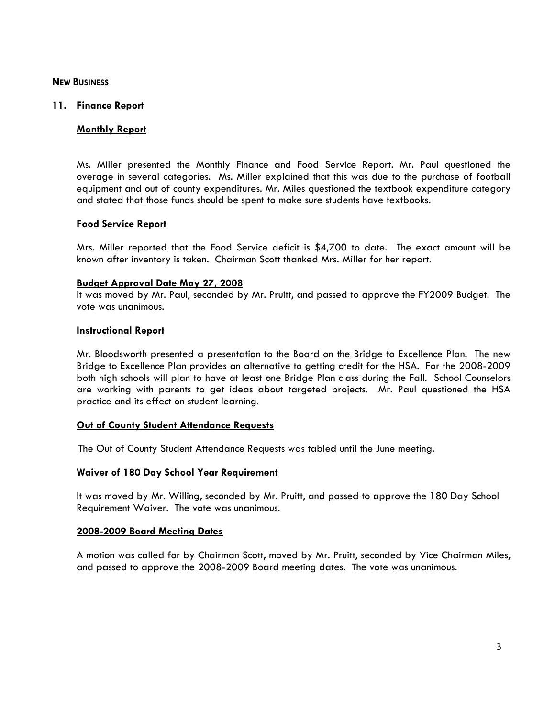### **NEW BUSINESS**

### **11. Finance Report**

## **Monthly Report**

Ms. Miller presented the Monthly Finance and Food Service Report. Mr. Paul questioned the overage in several categories. Ms. Miller explained that this was due to the purchase of football equipment and out of county expenditures. Mr. Miles questioned the textbook expenditure category and stated that those funds should be spent to make sure students have textbooks.

### **Food Service Report**

Mrs. Miller reported that the Food Service deficit is \$4,700 to date. The exact amount will be known after inventory is taken. Chairman Scott thanked Mrs. Miller for her report.

### **Budget Approval Date May 27, 2008**

It was moved by Mr. Paul, seconded by Mr. Pruitt, and passed to approve the FY2009 Budget. The vote was unanimous.

### **Instructional Report**

Mr. Bloodsworth presented a presentation to the Board on the Bridge to Excellence Plan. The new Bridge to Excellence Plan provides an alternative to getting credit for the HSA. For the 2008-2009 both high schools will plan to have at least one Bridge Plan class during the Fall. School Counselors are working with parents to get ideas about targeted projects. Mr. Paul questioned the HSA practice and its effect on student learning.

#### **Out of County Student Attendance Requests**

The Out of County Student Attendance Requests was tabled until the June meeting.

#### **Waiver of 180 Day School Year Requirement**

It was moved by Mr. Willing, seconded by Mr. Pruitt, and passed to approve the 180 Day School Requirement Waiver. The vote was unanimous.

#### **2008-2009 Board Meeting Dates**

A motion was called for by Chairman Scott, moved by Mr. Pruitt, seconded by Vice Chairman Miles, and passed to approve the 2008-2009 Board meeting dates. The vote was unanimous.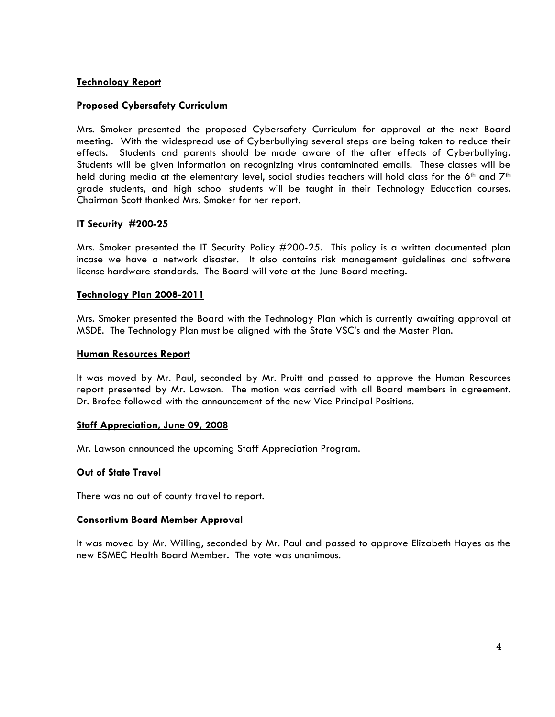# **Technology Report**

# **Proposed Cybersafety Curriculum**

Mrs. Smoker presented the proposed Cybersafety Curriculum for approval at the next Board meeting. With the widespread use of Cyberbullying several steps are being taken to reduce their effects. Students and parents should be made aware of the after effects of Cyberbullying. Students will be given information on recognizing virus contaminated emails. These classes will be held during media at the elementary level, social studies teachers will hold class for the 6<sup>th</sup> and 7<sup>th</sup> grade students, and high school students will be taught in their Technology Education courses. Chairman Scott thanked Mrs. Smoker for her report.

## **IT Security #200-25**

Mrs. Smoker presented the IT Security Policy #200-25. This policy is a written documented plan incase we have a network disaster. It also contains risk management guidelines and software license hardware standards. The Board will vote at the June Board meeting.

## **Technology Plan 2008-2011**

Mrs. Smoker presented the Board with the Technology Plan which is currently awaiting approval at MSDE. The Technology Plan must be aligned with the State VSC's and the Master Plan.

### **Human Resources Report**

It was moved by Mr. Paul, seconded by Mr. Pruitt and passed to approve the Human Resources report presented by Mr. Lawson. The motion was carried with all Board members in agreement. Dr. Brofee followed with the announcement of the new Vice Principal Positions.

## **Staff Appreciation, June 09, 2008**

Mr. Lawson announced the upcoming Staff Appreciation Program.

## **Out of State Travel**

There was no out of county travel to report.

## **Consortium Board Member Approval**

It was moved by Mr. Willing, seconded by Mr. Paul and passed to approve Elizabeth Hayes as the new ESMEC Health Board Member. The vote was unanimous.